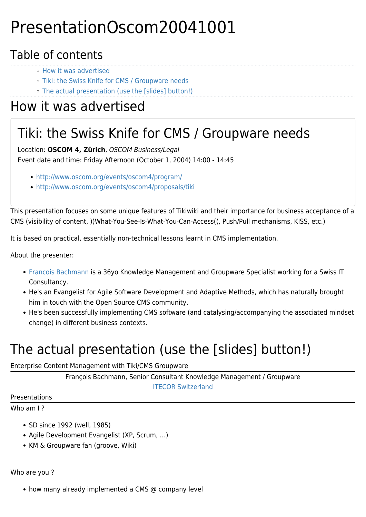# PresentationOscom20041001

### Table of contents

- [How it was advertised](#page--1-0)
- [Tiki: the Swiss Knife for CMS / Groupware needs](#page--1-0)
- [The actual presentation \(use the \[slides\] button!\)](#page--1-0)

## How it was advertised

### Tiki: the Swiss Knife for CMS / Groupware needs

Location: **OSCOM 4, Zürich**, OSCOM Business/Legal Event date and time: Friday Afternoon (October 1, 2004) 14:00 - 14:45

- <http://www.oscom.org/events/oscom4/program/>
- <http://www.oscom.org/events/oscom4/proposals/tiki>

This presentation focuses on some unique features of Tikiwiki and their importance for business acceptance of a CMS (visibility of content, ))What-You-See-Is-What-You-Can-Access((, Push/Pull mechanisms, KISS, etc.)

It is based on practical, essentially non-technical lessons learnt in CMS implementation.

About the presenter:

- [Francois Bachmann](https://tiki.org/UserPageFrancoisBachmann) is a 36yo Knowledge Management and Groupware Specialist working for a Swiss IT Consultancy.
- He's an Evangelist for Agile Software Development and Adaptive Methods, which has naturally brought him in touch with the Open Source CMS community.
- He's been successfully implementing CMS software (and catalysing/accompanying the associated mindset change) in different business contexts.

## The actual presentation (use the [slides] button!)

#### Enterprise Content Management with Tiki/CMS Groupware

François Bachmann, Senior Consultant Knowledge Management / Groupware [ITECOR Switzerland](http://www.itecor.com)

Presentations

Who am I?

- SD since 1992 (well, 1985)
- Agile Development Evangelist (XP, Scrum, …)
- KM & Groupware fan (groove, Wiki)

Who are you ?

• how many already implemented a CMS @ company level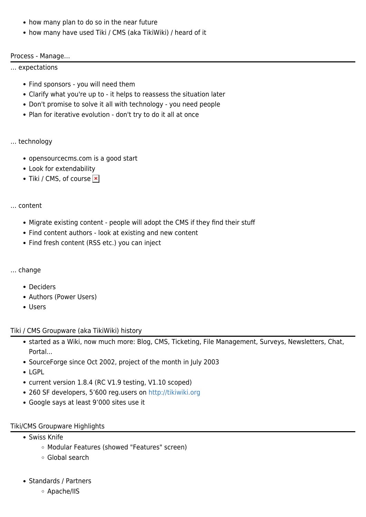- how many plan to do so in the near future
- how many have used Tiki / CMS (aka TikiWiki) / heard of it

#### Process - Manage…

… expectations

- Find sponsors you will need them
- Clarify what you're up to it helps to reassess the situation later
- Don't promise to solve it all with technology you need people
- Plan for iterative evolution don't try to do it all at once

#### … technology

- opensourcecms.com is a good start
- Look for extendability
- $\bullet$  Tiki / CMS, of course  $\boxed{\ast}$

#### … content

- Migrate existing content people will adopt the CMS if they find their stuff
- Find content authors look at existing and new content
- Find fresh content (RSS etc.) you can inject

#### … change

- Deciders
- Authors (Power Users)
- Users

#### Tiki / CMS Groupware (aka TikiWiki) history

- started as a Wiki, now much more: Blog, CMS, Ticketing, File Management, Surveys, Newsletters, Chat, Portal...
- SourceForge since Oct 2002, project of the month in July 2003
- LGPL
- current version 1.8.4 (RC V1.9 testing, V1.10 scoped)
- 260 SF developers, 5'600 reg.users on <http://tikiwiki.org>
- Google says at least 9'000 sites use it

#### Tiki/CMS Groupware Highlights

- Swiss Knife
	- Modular Features (showed "Features" screen)
	- Global search
- Standards / Partners
	- Apache/IIS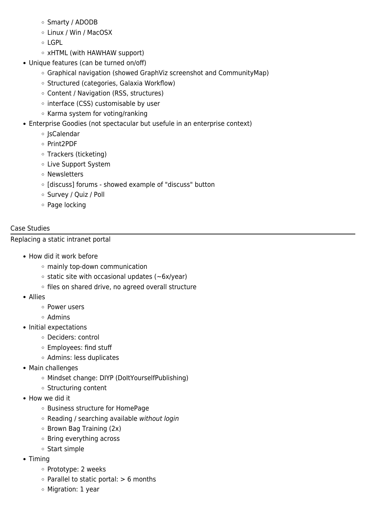- Smarty / ADODB
- Linux / Win / MacOSX
- LGPL
- xHTML (with HAWHAW support)
- Unique features (can be turned on/off)
	- Graphical navigation (showed GraphViz screenshot and CommunityMap)
	- o Structured (categories, Galaxia Workflow)
	- Content / Navigation (RSS, structures)
	- o interface (CSS) customisable by user
	- Karma system for voting/ranking
- Enterprise Goodies (not spectacular but usefule in an enterprise context)
	- o IsCalendar
	- Print2PDF
	- Trackers (ticketing)
	- Live Support System
	- Newsletters
	- o [discuss] forums showed example of "discuss" button
	- Survey / Quiz / Poll
	- Page locking

#### Case Studies

#### Replacing a static intranet portal

- How did it work before
	- mainly top-down communication
	- $\circ$  static site with occasional updates ( $\sim$ 6x/year)
	- o files on shared drive, no agreed overall structure
- Allies
	- Power users
	- Admins
- Initial expectations
	- Deciders: control
	- Employees: find stuff
	- Admins: less duplicates
- Main challenges
	- Mindset change: DIYP (DoItYourselfPublishing)
	- o Structuring content
- How we did it
	- Business structure for HomePage
	- $\circ$  Reading / searching available without login
	- $\circ$  Brown Bag Training (2x)
	- Bring everything across
	- Start simple
- Timing
	- o Prototype: 2 weeks
	- $\circ$  Parallel to static portal:  $> 6$  months
	- Migration: 1 year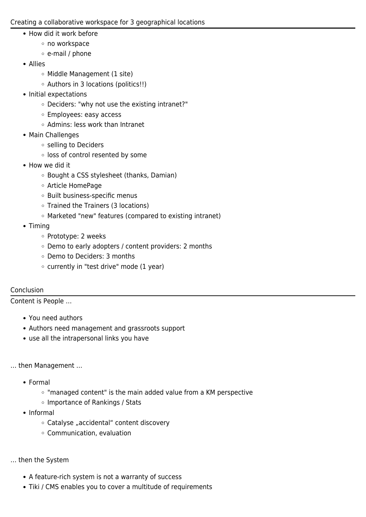#### Creating a collaborative workspace for 3 geographical locations

- How did it work before
	- no workspace
	- e-mail / phone
- Allies
	- Middle Management (1 site)
	- Authors in 3 locations (politics!!)
- Initial expectations
	- Deciders: "why not use the existing intranet?"
	- Employees: easy access
	- Admins: less work than Intranet
- Main Challenges
	- o selling to Deciders
	- o loss of control resented by some
- How we did it
	- Bought a CSS stylesheet (thanks, Damian)
	- Article HomePage
	- Built business-specific menus
	- Trained the Trainers (3 locations)
	- Marketed "new" features (compared to existing intranet)
- Timina
	- o Prototype: 2 weeks
	- Demo to early adopters / content providers: 2 months
	- Demo to Deciders: 3 months
	- currently in "test drive" mode (1 year)

#### Conclusion

Content is People …

- You need authors
- Authors need management and grassroots support
- use all the intrapersonal links you have

#### … then Management …

- Formal
	- **The 10**  $\sigma$  "managed content" is the main added value from a KM perspective
	- o Importance of Rankings / Stats
- Informal
	- $\circ$  Catalyse "accidental" content discovery
	- Communication, evaluation

#### … then the System

- A feature-rich system is not a warranty of success
- Tiki / CMS enables you to cover a multitude of requirements